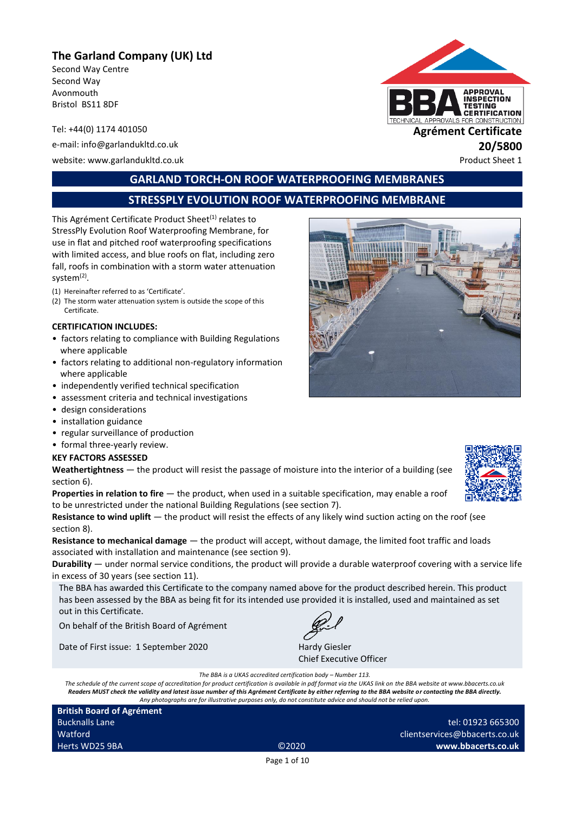## **The Garland Company (UK) Ltd**

Second Way Centre Second Way Avonmouth Bristol BS11 8DF

e-mail: info@garlandukltd.co.uk **20/5800** website: www.garlandukltd.co.uk Product Sheet 1



## **GARLAND TORCH-ON ROOF WATERPROOFING MEMBRANES**

## **STRESSPLY EVOLUTION ROOF WATERPROOFING MEMBRANE**

This Agrément Certificate Product Sheet<sup>(1)</sup> relates to StressPly Evolution Roof Waterproofing Membrane, for use in flat and pitched roof waterproofing specifications with limited access, and blue roofs on flat, including zero fall, roofs in combination with a storm water attenuation system<sup>(2)</sup>.

- (1) Hereinafter referred to as 'Certificate'.
- (2) The storm water attenuation system is outside the scope of this Certificate.

#### **CERTIFICATION INCLUDES:**

- factors relating to compliance with Building Regulations where applicable
- factors relating to additional non-regulatory information where applicable
- independently verified technical specification
- assessment criteria and technical investigations
- design considerations
- installation guidance
- regular surveillance of production
- formal three-yearly review.

#### **KEY FACTORS ASSESSED**

**Weathertightness** — the product will resist the passage of moisture into the interior of a building (see section 6).

**Properties in relation to fire** — the product, when used in a suitable specification, may enable a roof to be unrestricted under the national Building Regulations (see section 7).

**Resistance to wind uplift** — the product will resist the effects of any likely wind suction acting on the roof (see section 8).

**Resistance to mechanical damage** — the product will accept, without damage, the limited foot traffic and loads associated with installation and maintenance (see section 9).

**Durability** — under normal service conditions, the product will provide a durable waterproof covering with a service life in excess of 30 years (see section 11).

The BBA has awarded this Certificate to the company named above for the product described herein. This product has been assessed by the BBA as being fit for its intended use provided it is installed, used and maintained as set out in this Certificate.

On behalf of the British Board of Agrément

Date of First issue: 1 September 2020 Hardy Giesler



Chief Executive Officer

*The BBA is a UKAS accredited certification body – Number 113.*

*The schedule of the current scope of accreditation for product certification is available in pdf format via the UKAS link on the BBA website at www.bbacerts.co.uk Readers MUST check the validity and latest issue number of this Agrément Certificate by either referring to the BBA website or contacting the BBA directly. Any photographs are for illustrative purposes only, do not constitute advice and should not be relied upon.*

**British Board of Agrément** Bucknalls Lane Watford Herts WD25 9BA ©2020

tel: 01923 665300 clientservices@bbacerts.co.uk **www.bbacerts.co.uk**

Page 1 of 10



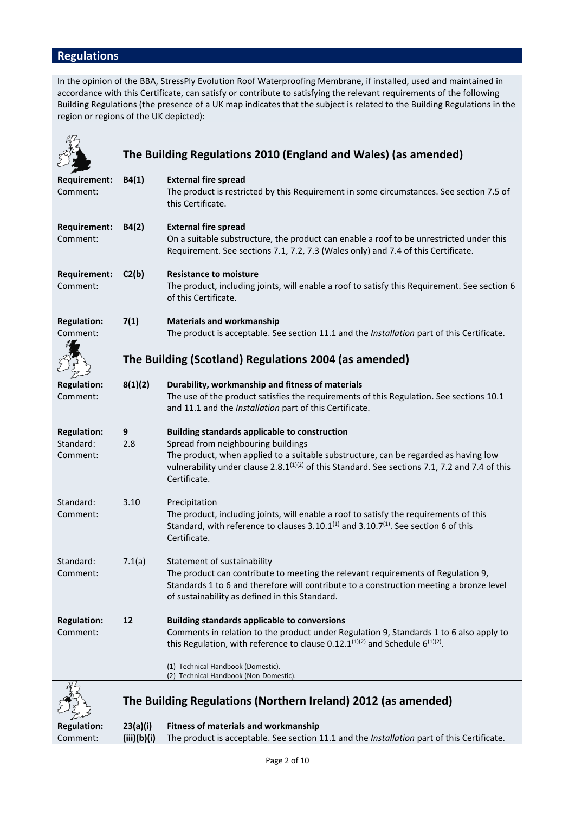# **Regulations**

In the opinion of the BBA, StressPly Evolution Roof Waterproofing Membrane, if installed, used and maintained in accordance with this Certificate, can satisfy or contribute to satisfying the relevant requirements of the following Building Regulations (the presence of a UK map indicates that the subject is related to the Building Regulations in the region or regions of the UK depicted):

|                                             |                                                       | The Building Regulations 2010 (England and Wales) (as amended)                                                                                                                                                                                                                                                  |  |
|---------------------------------------------|-------------------------------------------------------|-----------------------------------------------------------------------------------------------------------------------------------------------------------------------------------------------------------------------------------------------------------------------------------------------------------------|--|
| <b>Requirement:</b><br>Comment:             | B4(1)                                                 | <b>External fire spread</b><br>The product is restricted by this Requirement in some circumstances. See section 7.5 of<br>this Certificate.                                                                                                                                                                     |  |
| <b>Requirement:</b><br>Comment:             | B4(2)                                                 | <b>External fire spread</b><br>On a suitable substructure, the product can enable a roof to be unrestricted under this<br>Requirement. See sections 7.1, 7.2, 7.3 (Wales only) and 7.4 of this Certificate.                                                                                                     |  |
| <b>Requirement:</b><br>Comment:             | C2(b)                                                 | <b>Resistance to moisture</b><br>The product, including joints, will enable a roof to satisfy this Requirement. See section 6<br>of this Certificate.                                                                                                                                                           |  |
| <b>Regulation:</b><br>Comment:              | 7(1)                                                  | <b>Materials and workmanship</b><br>The product is acceptable. See section 11.1 and the Installation part of this Certificate.                                                                                                                                                                                  |  |
|                                             | The Building (Scotland) Regulations 2004 (as amended) |                                                                                                                                                                                                                                                                                                                 |  |
| <b>Regulation:</b><br>Comment:              | 8(1)(2)                                               | Durability, workmanship and fitness of materials<br>The use of the product satisfies the requirements of this Regulation. See sections 10.1<br>and 11.1 and the Installation part of this Certificate.                                                                                                          |  |
| <b>Regulation:</b><br>Standard:<br>Comment: | 9<br>2.8                                              | <b>Building standards applicable to construction</b><br>Spread from neighbouring buildings<br>The product, when applied to a suitable substructure, can be regarded as having low<br>vulnerability under clause 2.8.1 <sup>(1)(2)</sup> of this Standard. See sections 7.1, 7.2 and 7.4 of this<br>Certificate. |  |
| Standard:<br>Comment:                       | 3.10                                                  | Precipitation<br>The product, including joints, will enable a roof to satisfy the requirements of this<br>Standard, with reference to clauses 3.10.1 <sup>(1)</sup> and 3.10.7 <sup>(1)</sup> . See section 6 of this<br>Certificate.                                                                           |  |
| Standard:<br>Comment:                       | 7.1(a)                                                | Statement of sustainability<br>The product can contribute to meeting the relevant requirements of Regulation 9,<br>Standards 1 to 6 and therefore will contribute to a construction meeting a bronze level<br>of sustainability as defined in this Standard.                                                    |  |
| <b>Regulation:</b><br>Comment:              | 12                                                    | <b>Building standards applicable to conversions</b><br>Comments in relation to the product under Regulation 9, Standards 1 to 6 also apply to<br>this Regulation, with reference to clause 0.12.1 $^{(1)(2)}$ and Schedule 6 $^{(1)(2)}$ .                                                                      |  |
|                                             |                                                       | (1) Technical Handbook (Domestic).<br>(2) Technical Handbook (Non-Domestic).                                                                                                                                                                                                                                    |  |
|                                             |                                                       | The Building Regulations (Northern Ireland) 2012 (as amended)                                                                                                                                                                                                                                                   |  |
| <b>Regulation:</b>                          | 23(a)(i)                                              | <b>Fitness of materials and workmanship</b>                                                                                                                                                                                                                                                                     |  |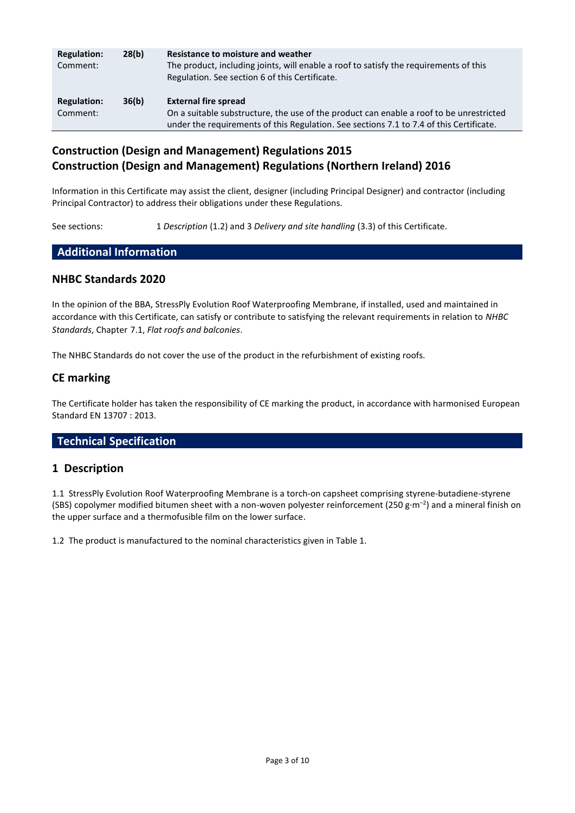| <b>Regulation:</b><br>Comment: | 28(b) | Resistance to moisture and weather<br>The product, including joints, will enable a roof to satisfy the requirements of this<br>Regulation. See section 6 of this Certificate.                                     |
|--------------------------------|-------|-------------------------------------------------------------------------------------------------------------------------------------------------------------------------------------------------------------------|
| <b>Regulation:</b><br>Comment: | 36(b) | <b>External fire spread</b><br>On a suitable substructure, the use of the product can enable a roof to be unrestricted<br>under the requirements of this Regulation. See sections 7.1 to 7.4 of this Certificate. |

## **Construction (Design and Management) Regulations 2015 Construction (Design and Management) Regulations (Northern Ireland) 2016**

Information in this Certificate may assist the client, designer (including Principal Designer) and contractor (including Principal Contractor) to address their obligations under these Regulations.

See sections: 1 *Description* (1.2) and 3 *Delivery and site handling* (3.3) of this Certificate.

#### **Additional Information**

#### **NHBC Standards 2020**

In the opinion of the BBA, StressPly Evolution Roof Waterproofing Membrane, if installed, used and maintained in accordance with this Certificate, can satisfy or contribute to satisfying the relevant requirements in relation to *NHBC Standards*, Chapter 7.1, *Flat roofs and balconies*.

The NHBC Standards do not cover the use of the product in the refurbishment of existing roofs.

### **CE marking**

The Certificate holder has taken the responsibility of CE marking the product, in accordance with harmonised European Standard EN 13707 : 2013.

### **Technical Specification**

### **1 Description**

1.1 StressPly Evolution Roof Waterproofing Membrane is a torch-on capsheet comprising styrene-butadiene-styrene (SBS) copolymer modified bitumen sheet with a non-woven polyester reinforcement (250 g·m<sup>-2</sup>) and a mineral finish on the upper surface and a thermofusible film on the lower surface.

1.2 The product is manufactured to the nominal characteristics given in Table 1.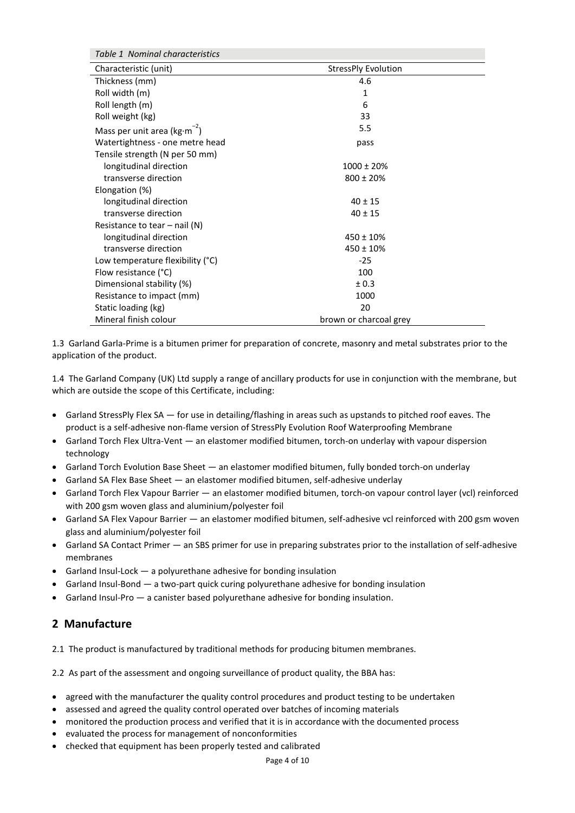| Table 1 Nominal characteristics    |                        |  |  |  |  |
|------------------------------------|------------------------|--|--|--|--|
| Characteristic (unit)              | StressPly Evolution    |  |  |  |  |
| Thickness (mm)                     | 4.6                    |  |  |  |  |
| Roll width (m)                     | 1                      |  |  |  |  |
| Roll length (m)                    | 6                      |  |  |  |  |
| Roll weight (kg)                   | 33                     |  |  |  |  |
| Mass per unit area ( $kg·m^{-2}$ ) | 5.5                    |  |  |  |  |
| Watertightness - one metre head    | pass                   |  |  |  |  |
| Tensile strength (N per 50 mm)     |                        |  |  |  |  |
| longitudinal direction             | $1000 \pm 20\%$        |  |  |  |  |
| transverse direction               | $800 \pm 20\%$         |  |  |  |  |
| Elongation (%)                     |                        |  |  |  |  |
| longitudinal direction             | $40 \pm 15$            |  |  |  |  |
| transverse direction               | $40 \pm 15$            |  |  |  |  |
| Resistance to tear $-$ nail (N)    |                        |  |  |  |  |
| longitudinal direction             | $450 \pm 10\%$         |  |  |  |  |
| transverse direction               | $450 \pm 10\%$         |  |  |  |  |
| Low temperature flexibility (°C)   | $-25$                  |  |  |  |  |
| Flow resistance (°C)               | 100                    |  |  |  |  |
| Dimensional stability (%)          | ± 0.3                  |  |  |  |  |
| Resistance to impact (mm)          | 1000                   |  |  |  |  |
| Static loading (kg)                | 20                     |  |  |  |  |
| Mineral finish colour              | brown or charcoal grey |  |  |  |  |

1.3 Garland Garla-Prime is a bitumen primer for preparation of concrete, masonry and metal substrates prior to the application of the product.

1.4 The Garland Company (UK) Ltd supply a range of ancillary products for use in conjunction with the membrane, but which are outside the scope of this Certificate, including:

- Garland StressPly Flex SA for use in detailing/flashing in areas such as upstands to pitched roof eaves. The product is a self-adhesive non-flame version of StressPly Evolution Roof Waterproofing Membrane
- Garland Torch Flex Ultra-Vent an elastomer modified bitumen, torch-on underlay with vapour dispersion technology
- Garland Torch Evolution Base Sheet an elastomer modified bitumen, fully bonded torch-on underlay
- Garland SA Flex Base Sheet an elastomer modified bitumen, self-adhesive underlay
- Garland Torch Flex Vapour Barrier an elastomer modified bitumen, torch-on vapour control layer (vcl) reinforced with 200 gsm woven glass and aluminium/polyester foil
- Garland SA Flex Vapour Barrier an elastomer modified bitumen, self-adhesive vcl reinforced with 200 gsm woven glass and aluminium/polyester foil
- Garland SA Contact Primer an SBS primer for use in preparing substrates prior to the installation of self-adhesive membranes
- Garland Insul-Lock a polyurethane adhesive for bonding insulation
- Garland Insul-Bond a two-part quick curing polyurethane adhesive for bonding insulation
- Garland Insul-Pro a canister based polyurethane adhesive for bonding insulation.

#### **2 Manufacture**

2.1 The product is manufactured by traditional methods for producing bitumen membranes.

2.2 As part of the assessment and ongoing surveillance of product quality, the BBA has:

- agreed with the manufacturer the quality control procedures and product testing to be undertaken
- assessed and agreed the quality control operated over batches of incoming materials
- monitored the production process and verified that it is in accordance with the documented process
- evaluated the process for management of nonconformities
- checked that equipment has been properly tested and calibrated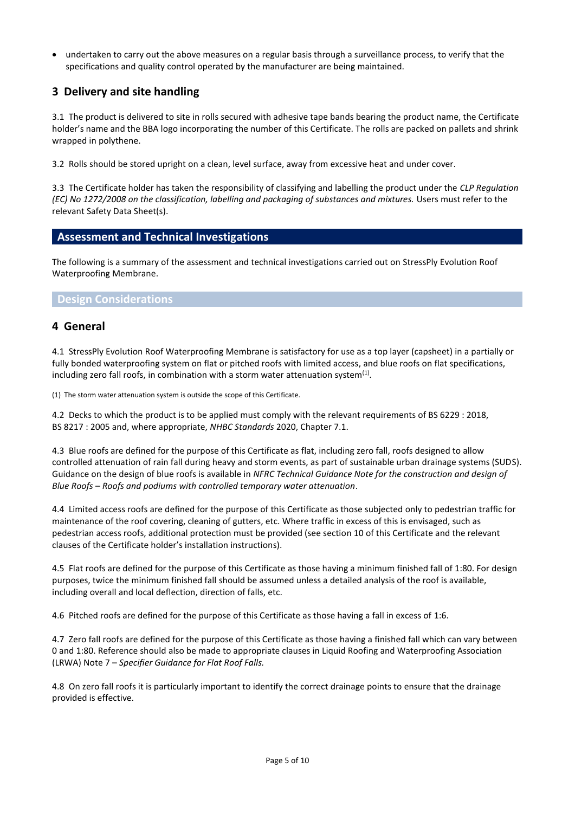undertaken to carry out the above measures on a regular basis through a surveillance process, to verify that the specifications and quality control operated by the manufacturer are being maintained.

## **3 Delivery and site handling**

3.1 The product is delivered to site in rolls secured with adhesive tape bands bearing the product name, the Certificate holder's name and the BBA logo incorporating the number of this Certificate. The rolls are packed on pallets and shrink wrapped in polythene.

3.2 Rolls should be stored upright on a clean, level surface, away from excessive heat and under cover.

3.3 The Certificate holder has taken the responsibility of classifying and labelling the product under the *CLP Regulation (EC) No 1272/2008 on the classification, labelling and packaging of substances and mixtures.* Users must refer to the relevant Safety Data Sheet(s).

## **Assessment and Technical Investigations**

The following is a summary of the assessment and technical investigations carried out on StressPly Evolution Roof Waterproofing Membrane.

#### **Design Considerations**

### **4 General**

4.1 StressPly Evolution Roof Waterproofing Membrane is satisfactory for use as a top layer (capsheet) in a partially or fully bonded waterproofing system on flat or pitched roofs with limited access, and blue roofs on flat specifications, including zero fall roofs, in combination with a storm water attenuation system<sup>(1)</sup>.

(1) The storm water attenuation system is outside the scope of this Certificate.

4.2 Decks to which the product is to be applied must comply with the relevant requirements of BS 6229 : 2018, BS 8217 : 2005 and, where appropriate, *NHBC Standards* 2020, Chapter 7.1.

4.3 Blue roofs are defined for the purpose of this Certificate as flat, including zero fall, roofs designed to allow controlled attenuation of rain fall during heavy and storm events, as part of sustainable urban drainage systems (SUDS). Guidance on the design of blue roofs is available in *NFRC Technical Guidance Note for the construction and design of Blue Roofs – Roofs and podiums with controlled temporary water attenuation*.

4.4 Limited access roofs are defined for the purpose of this Certificate as those subjected only to pedestrian traffic for maintenance of the roof covering, cleaning of gutters, etc. Where traffic in excess of this is envisaged, such as pedestrian access roofs, additional protection must be provided (see section 10 of this Certificate and the relevant clauses of the Certificate holder's installation instructions).

4.5 Flat roofs are defined for the purpose of this Certificate as those having a minimum finished fall of 1:80. For design purposes, twice the minimum finished fall should be assumed unless a detailed analysis of the roof is available, including overall and local deflection, direction of falls, etc.

4.6 Pitched roofs are defined for the purpose of this Certificate as those having a fall in excess of 1:6.

4.7 Zero fall roofs are defined for the purpose of this Certificate as those having a finished fall which can vary between 0 and 1:80. Reference should also be made to appropriate clauses in Liquid Roofing and Waterproofing Association (LRWA) Note 7 – *Specifier Guidance for Flat Roof Falls.*

4.8 On zero fall roofs it is particularly important to identify the correct drainage points to ensure that the drainage provided is effective.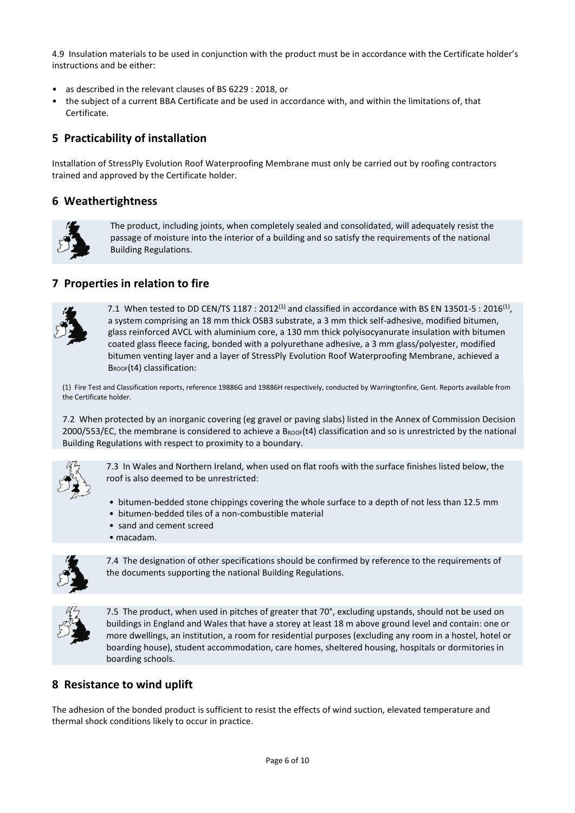4.9 Insulation materials to be used in conjunction with the product must be in accordance with the Certificate holder's instructions and be either:

- as described in the relevant clauses of BS 6229 : 2018, or
- the subject of a current BBA Certificate and be used in accordance with, and within the limitations of, that Certificate.

## **5 Practicability of installation**

Installation of StressPly Evolution Roof Waterproofing Membrane must only be carried out by roofing contractors trained and approved by the Certificate holder.

### **6 Weathertightness**



The product, including joints, when completely sealed and consolidated, will adequately resist the passage of moisture into the interior of a building and so satisfy the requirements of the national Building Regulations.

### **7 Properties in relation to fire**



7.1 When tested to DD CEN/TS 1187 : 2012<sup>(1)</sup> and classified in accordance with BS EN 13501-5 : 2016<sup>(1)</sup>, a system comprising an 18 mm thick OSB3 substrate, a 3 mm thick self-adhesive, modified bitumen, glass reinforced AVCL with aluminium core, a 130 mm thick polyisocyanurate insulation with bitumen coated glass fleece facing, bonded with a polyurethane adhesive, a 3 mm glass/polyester, modified bitumen venting layer and a layer of StressPly Evolution Roof Waterproofing Membrane, achieved a BROOF(t4) classification:

(1) Fire Test and Classification reports, reference 19886G and 19886H respectively, conducted by Warringtonfire, Gent. Reports available from the Certificate holder.

7.2 When protected by an inorganic covering (eg gravel or paving slabs) listed in the Annex of Commission Decision  $2000/553/EC$ , the membrane is considered to achieve a B<sub>ROOF</sub>(t4) classification and so is unrestricted by the national Building Regulations with respect to proximity to a boundary.



7.3 In Wales and Northern Ireland, when used on flat roofs with the surface finishes listed below, the roof is also deemed to be unrestricted:

- bitumen-bedded stone chippings covering the whole surface to a depth of not less than 12.5 mm
- bitumen-bedded tiles of a non-combustible material
- sand and cement screed
- macadam.



7.4 The designation of other specifications should be confirmed by reference to the requirements of the documents supporting the national Building Regulations.



7.5 The product, when used in pitches of greater that 70°, excluding upstands, should not be used on buildings in England and Wales that have a storey at least 18 m above ground level and contain: one or more dwellings, an institution, a room for residential purposes (excluding any room in a hostel, hotel or boarding house), student accommodation, care homes, sheltered housing, hospitals or dormitories in boarding schools.

### **8 Resistance to wind uplift**

The adhesion of the bonded product is sufficient to resist the effects of wind suction, elevated temperature and thermal shock conditions likely to occur in practice.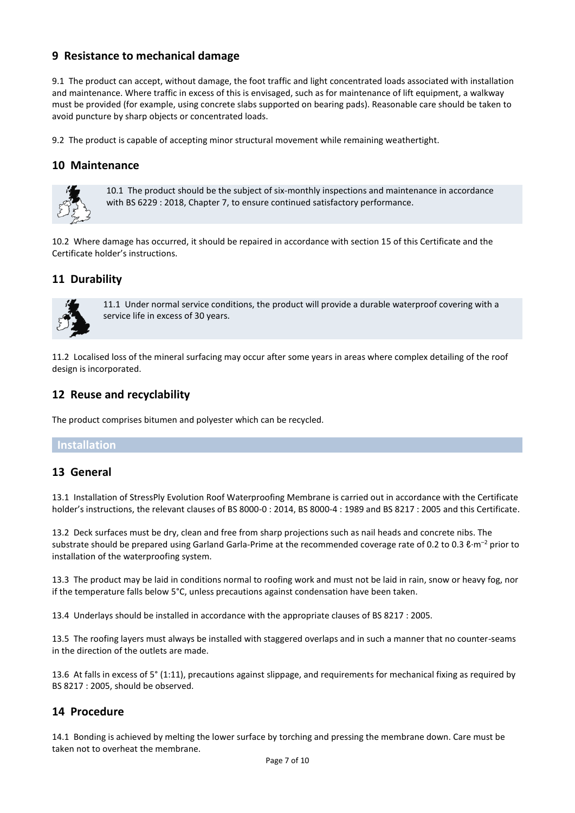### **9 Resistance to mechanical damage**

9.1 The product can accept, without damage, the foot traffic and light concentrated loads associated with installation and maintenance. Where traffic in excess of this is envisaged, such as for maintenance of lift equipment, a walkway must be provided (for example, using concrete slabs supported on bearing pads). Reasonable care should be taken to avoid puncture by sharp objects or concentrated loads.

9.2 The product is capable of accepting minor structural movement while remaining weathertight.

### **10 Maintenance**



10.1 The product should be the subject of six-monthly inspections and maintenance in accordance with BS 6229 : 2018, Chapter 7, to ensure continued satisfactory performance.

10.2 Where damage has occurred, it should be repaired in accordance with section 15 of this Certificate and the Certificate holder's instructions.

### **11 Durability**



11.1 Under normal service conditions, the product will provide a durable waterproof covering with a service life in excess of 30 years.

11.2 Localised loss of the mineral surfacing may occur after some years in areas where complex detailing of the roof design is incorporated.

### **12 Reuse and recyclability**

The product comprises bitumen and polyester which can be recycled.

#### **Installation**

### **13 General**

13.1 Installation of StressPly Evolution Roof Waterproofing Membrane is carried out in accordance with the Certificate holder's instructions, the relevant clauses of BS 8000-0 : 2014, BS 8000-4 : 1989 and BS 8217 : 2005 and this Certificate.

13.2 Deck surfaces must be dry, clean and free from sharp projections such as nail heads and concrete nibs. The substrate should be prepared using Garland Garla-Prime at the recommended coverage rate of 0.2 to 0.3  $\text{e} \cdot \text{m}^{-2}$  prior to installation of the waterproofing system.

13.3 The product may be laid in conditions normal to roofing work and must not be laid in rain, snow or heavy fog, nor if the temperature falls below 5°C, unless precautions against condensation have been taken.

13.4 Underlays should be installed in accordance with the appropriate clauses of BS 8217 : 2005.

13.5 The roofing layers must always be installed with staggered overlaps and in such a manner that no counter-seams in the direction of the outlets are made.

13.6 At falls in excess of 5° (1:11), precautions against slippage, and requirements for mechanical fixing as required by BS 8217 : 2005, should be observed.

### **14 Procedure**

14.1 Bonding is achieved by melting the lower surface by torching and pressing the membrane down. Care must be taken not to overheat the membrane.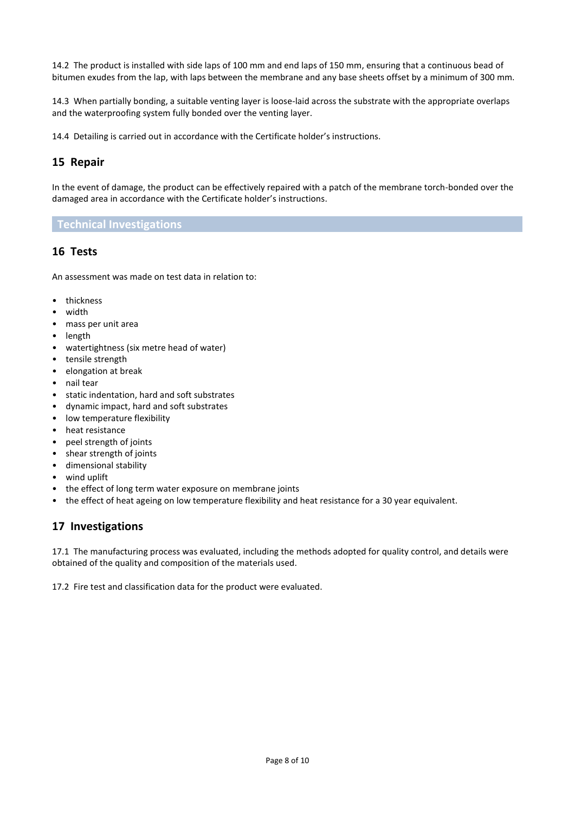14.2 The product is installed with side laps of 100 mm and end laps of 150 mm, ensuring that a continuous bead of bitumen exudes from the lap, with laps between the membrane and any base sheets offset by a minimum of 300 mm.

14.3 When partially bonding, a suitable venting layer is loose-laid across the substrate with the appropriate overlaps and the waterproofing system fully bonded over the venting layer.

14.4 Detailing is carried out in accordance with the Certificate holder's instructions.

## **15 Repair**

In the event of damage, the product can be effectively repaired with a patch of the membrane torch-bonded over the damaged area in accordance with the Certificate holder's instructions.

#### **Technical Investigations**

### **16 Tests**

An assessment was made on test data in relation to:

- thickness
- width
- mass per unit area
- length
- watertightness (six metre head of water)
- tensile strength
- elongation at break
- nail tear
- static indentation, hard and soft substrates
- dynamic impact, hard and soft substrates
- low temperature flexibility
- heat resistance
- peel strength of joints
- shear strength of joints
- dimensional stability
- wind uplift
- the effect of long term water exposure on membrane joints
- the effect of heat ageing on low temperature flexibility and heat resistance for a 30 year equivalent.

### **17 Investigations**

17.1 The manufacturing process was evaluated, including the methods adopted for quality control, and details were obtained of the quality and composition of the materials used.

17.2 Fire test and classification data for the product were evaluated.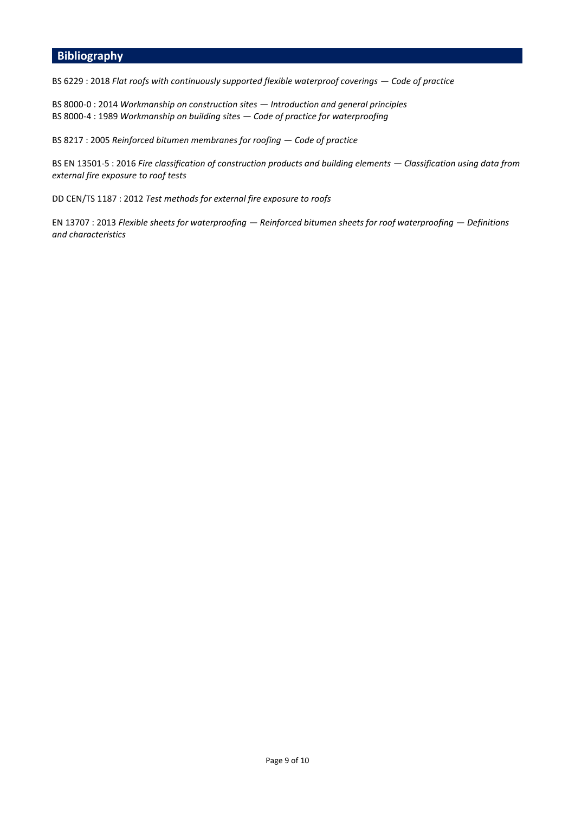## **Bibliography**

BS 6229 : 2018 *Flat roofs with continuously supported flexible waterproof coverings — Code of practice* 

BS 8000-0 : 2014 *Workmanship on construction sites — Introduction and general principles*  BS 8000-4 : 1989 *Workmanship on building sites — Code of practice for waterproofing* 

BS 8217 : 2005 *Reinforced bitumen membranes for roofing — Code of practice*

BS EN 13501-5 : 2016 *Fire classification of construction products and building elements — Classification using data from external fire exposure to roof tests* 

DD CEN/TS 1187 : 2012 *Test methods for external fire exposure to roofs* 

EN 13707 : 2013 *Flexible sheets for waterproofing — Reinforced bitumen sheets for roof waterproofing — Definitions and characteristics*